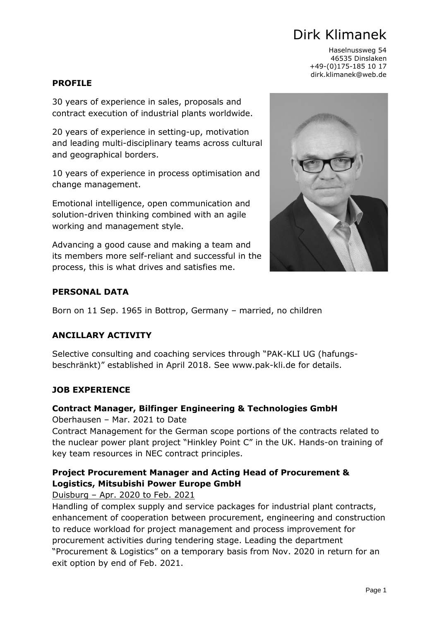# Dirk Klimanek

Haselnussweg 54 46535 Dinslaken +49-(0)175-185 10 17 dirk.klimanek@web.de

## **PROFILE**

30 years of experience in sales, proposals and contract execution of industrial plants worldwide.

20 years of experience in setting-up, motivation and leading multi-disciplinary teams across cultural and geographical borders.

10 years of experience in process optimisation and change management.

Emotional intelligence, open communication and solution-driven thinking combined with an agile working and management style.

Advancing a good cause and making a team and its members more self-reliant and successful in the process, this is what drives and satisfies me.



#### **PERSONAL DATA**

Born on 11 Sep. 1965 in Bottrop, Germany – married, no children

## **ANCILLARY ACTIVITY**

Selective consulting and coaching services through "PAK-KLI UG (hafungsbeschränkt)" established in April 2018. See www.pak-kli.de for details.

## **JOB EXPERIENCE**

# **Contract Manager, Bilfinger Engineering & Technologies GmbH**

Oberhausen – Mar. 2021 to Date

Contract Management for the German scope portions of the contracts related to the nuclear power plant project "Hinkley Point C" in the UK. Hands-on training of key team resources in NEC contract principles.

# **Project Procurement Manager and Acting Head of Procurement & Logistics, Mitsubishi Power Europe GmbH**

Duisburg – Apr. 2020 to Feb. 2021

Handling of complex supply and service packages for industrial plant contracts, enhancement of cooperation between procurement, engineering and construction to reduce workload for project management and process improvement for procurement activities during tendering stage. Leading the department "Procurement & Logistics" on a temporary basis from Nov. 2020 in return for an exit option by end of Feb. 2021.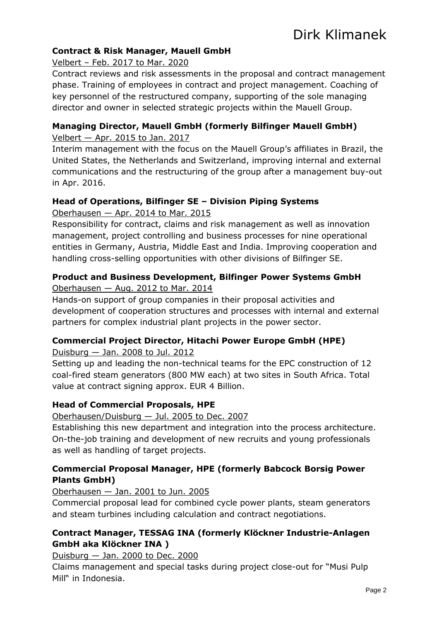#### **Contract & Risk Manager, Mauell GmbH**

Velbert – Feb. 2017 to Mar. 2020

Contract reviews and risk assessments in the proposal and contract management phase. Training of employees in contract and project management. Coaching of key personnel of the restructured company, supporting of the sole managing director and owner in selected strategic projects within the Mauell Group.

# **Managing Director, Mauell GmbH (formerly Bilfinger Mauell GmbH)**

Velbert — Apr. 2015 to Jan. 2017

Interim management with the focus on the Mauell Group's affiliates in Brazil, the United States, the Netherlands and Switzerland, improving internal and external communications and the restructuring of the group after a management buy-out in Apr. 2016.

# **Head of Operations, Bilfinger SE – Division Piping Systems**

Oberhausen — Apr. 2014 to Mar. 2015

Responsibility for contract, claims and risk management as well as innovation management, project controlling and business processes for nine operational entities in Germany, Austria, Middle East and India. Improving cooperation and handling cross-selling opportunities with other divisions of Bilfinger SE.

# **Product and Business Development, Bilfinger Power Systems GmbH**

Oberhausen — Aug. 2012 to Mar. 2014

Hands-on support of group companies in their proposal activities and development of cooperation structures and processes with internal and external partners for complex industrial plant projects in the power sector.

## **Commercial Project Director, Hitachi Power Europe GmbH (HPE)**

Duisburg — Jan. 2008 to Jul. 2012

Setting up and leading the non-technical teams for the EPC construction of 12 coal-fired steam generators (800 MW each) at two sites in South Africa. Total value at contract signing approx. EUR 4 Billion.

## **Head of Commercial Proposals, HPE**

Oberhausen/Duisburg — Jul. 2005 to Dec. 2007

Establishing this new department and integration into the process architecture. On-the-job training and development of new recruits and young professionals as well as handling of target projects.

## **Commercial Proposal Manager, HPE (formerly Babcock Borsig Power Plants GmbH)**

## Oberhausen — Jan. 2001 to Jun. 2005

Commercial proposal lead for combined cycle power plants, steam generators and steam turbines including calculation and contract negotiations.

## **Contract Manager, TESSAG INA (formerly Klöckner Industrie-Anlagen GmbH aka Klöckner INA )**

Duisburg — Jan. 2000 to Dec. 2000

Claims management and special tasks during project close-out for "Musi Pulp Mill" in Indonesia.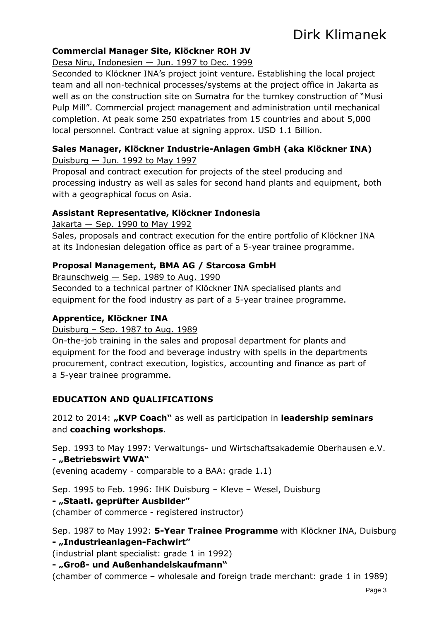#### **Commercial Manager Site, Klöckner ROH JV**

Desa Niru, Indonesien — Jun. 1997 to Dec. 1999

Seconded to Klöckner INA's project joint venture. Establishing the local project team and all non-technical processes/systems at the project office in Jakarta as well as on the construction site on Sumatra for the turnkey construction of "Musi Pulp Mill". Commercial project management and administration until mechanical completion. At peak some 250 expatriates from 15 countries and about 5,000 local personnel. Contract value at signing approx. USD 1.1 Billion.

#### **Sales Manager, Klöckner Industrie-Anlagen GmbH (aka Klöckner INA)** Duisburg  $-$  Jun. 1992 to May 1997

Proposal and contract execution for projects of the steel producing and processing industry as well as sales for second hand plants and equipment, both with a geographical focus on Asia.

#### **Assistant Representative, Klöckner Indonesia**

Jakarta — Sep. 1990 to May 1992

Sales, proposals and contract execution for the entire portfolio of Klöckner INA at its Indonesian delegation office as part of a 5-year trainee programme.

#### **Proposal Management, BMA AG / Starcosa GmbH**

Braunschweig - Sep. 1989 to Aug. 1990

Seconded to a technical partner of Klöckner INA specialised plants and equipment for the food industry as part of a 5-year trainee programme.

## **Apprentice, Klöckner INA**

Duisburg – Sep. 1987 to Aug. 1989

On-the-job training in the sales and proposal department for plants and equipment for the food and beverage industry with spells in the departments procurement, contract execution, logistics, accounting and finance as part of a 5-year trainee programme.

## **EDUCATION AND QUALIFICATIONS**

2012 to 2014: **"KVP Coach"** as well as participation in **leadership seminars** and **coaching workshops**.

Sep. 1993 to May 1997: Verwaltungs- und Wirtschaftsakademie Oberhausen e.V. **- "Betriebswirt VWA"** 

(evening academy - comparable to a BAA: grade 1.1)

Sep. 1995 to Feb. 1996: IHK Duisburg – Kleve – Wesel, Duisburg **- "Staatl. geprüfter Ausbilder"** 

(chamber of commerce - registered instructor)

Sep. 1987 to May 1992: **5-Year Trainee Programme** with Klöckner INA, Duisburg **- "Industrieanlagen-Fachwirt"** 

(industrial plant specialist: grade 1 in 1992)

#### **- "Groß- und Außenhandelskaufmann"**

(chamber of commerce – wholesale and foreign trade merchant: grade 1 in 1989)